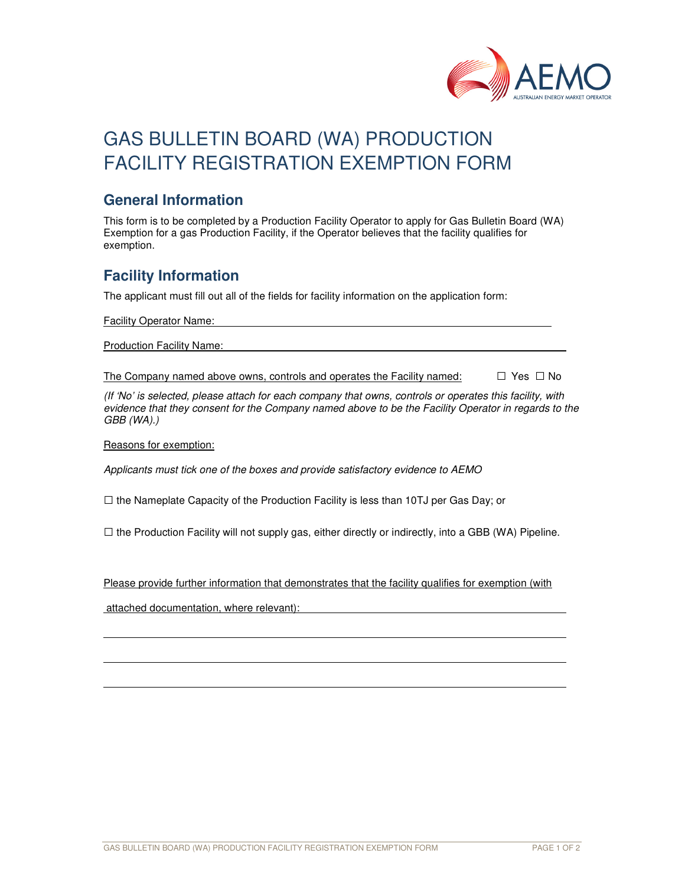

# GAS BULLETIN BOARD (WA) PRODUCTION FACILITY REGISTRATION EXEMPTION FORM

#### **General Information**

This form is to be completed by a Production Facility Operator to apply for Gas Bulletin Board (WA) Exemption for a gas Production Facility, if the Operator believes that the facility qualifies for exemption.

### **Facility Information**

The applicant must fill out all of the fields for facility information on the application form:

Facility Operator Name:

Production Facility Name:

The Company named above owns, controls and operates the Facility named:  $\Box$  Yes  $\Box$  No

(If 'No' is selected, please attach for each company that owns, controls or operates this facility, with evidence that they consent for the Company named above to be the Facility Operator in regards to the GBB (WA).)

Reasons for exemption:

l

Applicants must tick one of the boxes and provide satisfactory evidence to AEMO

 $\square$  the Nameplate Capacity of the Production Facility is less than 10TJ per Gas Day; or

 $\square$  the Production Facility will not supply gas, either directly or indirectly, into a GBB (WA) Pipeline.

Please provide further information that demonstrates that the facility qualifies for exemption (with

attached documentation, where relevant):